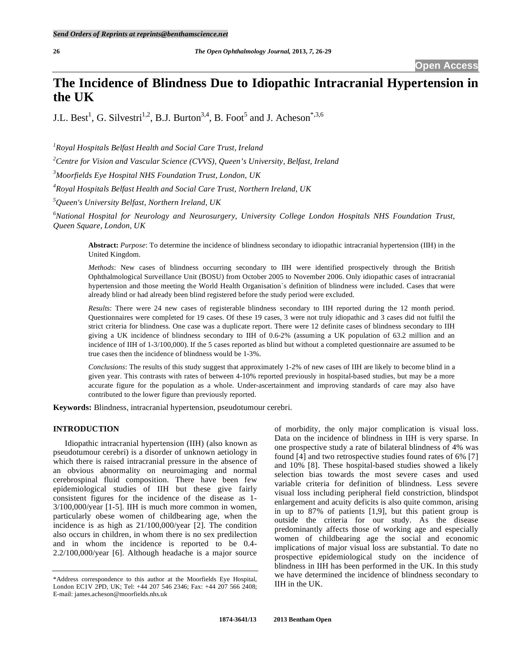# **The Incidence of Blindness Due to Idiopathic Intracranial Hypertension in the UK**

J.L. Best<sup>1</sup>, G. Silvestri<sup>1,2</sup>, B.J. Burton<sup>3,4</sup>, B. Foot<sup>5</sup> and J. Acheson<sup>\*,3,6</sup>

*1 Royal Hospitals Belfast Health and Social Care Trust, Ireland* 

*2 Centre for Vision and Vascular Science (CVVS), Queen's University, Belfast, Ireland* 

*3 Moorfields Eye Hospital NHS Foundation Trust, London, UK* 

*4 Royal Hospitals Belfast Health and Social Care Trust, Northern Ireland, UK* 

*5 Queen's University Belfast, Northern Ireland, UK* 

*6 National Hospital for Neurology and Neurosurgery, University College London Hospitals NHS Foundation Trust, Queen Square, London, UK* 

**Abstract:** *Purpose*: To determine the incidence of blindness secondary to idiopathic intracranial hypertension (IIH) in the United Kingdom.

*Methods*: New cases of blindness occurring secondary to IIH were identified prospectively through the British Ophthalmological Surveillance Unit (BOSU) from October 2005 to November 2006. Only idiopathic cases of intracranial hypertension and those meeting the World Health Organisation`s definition of blindness were included. Cases that were already blind or had already been blind registered before the study period were excluded.

*Results*: There were 24 new cases of registerable blindness secondary to IIH reported during the 12 month period. Questionnaires were completed for 19 cases. Of these 19 cases, 3 were not truly idiopathic and 3 cases did not fulfil the strict criteria for blindness. One case was a duplicate report. There were 12 definite cases of blindness secondary to IIH giving a UK incidence of blindness secondary to IIH of 0.6-2% (assuming a UK population of 63.2 million and an incidence of IIH of 1-3/100,000). If the 5 cases reported as blind but without a completed questionnaire are assumed to be true cases then the incidence of blindness would be 1-3%.

*Conclusions*: The results of this study suggest that approximately 1-2% of new cases of IIH are likely to become blind in a given year. This contrasts with rates of between 4-10% reported previously in hospital-based studies, but may be a more accurate figure for the population as a whole. Under-ascertainment and improving standards of care may also have contributed to the lower figure than previously reported.

**Keywords:** Blindness, intracranial hypertension, pseudotumour cerebri.

# **INTRODUCTION**

 Idiopathic intracranial hypertension (IIH) (also known as pseudotumour cerebri) is a disorder of unknown aetiology in which there is raised intracranial pressure in the absence of an obvious abnormality on neuroimaging and normal cerebrospinal fluid composition. There have been few epidemiological studies of IIH but these give fairly consistent figures for the incidence of the disease as 1- 3/100,000/year [1-5]. IIH is much more common in women, particularly obese women of childbearing age, when the incidence is as high as 21/100,000/year [2]. The condition also occurs in children, in whom there is no sex predilection and in whom the incidence is reported to be 0.4- 2.2/100,000/year [6]. Although headache is a major source

of morbidity, the only major complication is visual loss. Data on the incidence of blindness in IIH is very sparse. In one prospective study a rate of bilateral blindness of 4% was found [4] and two retrospective studies found rates of 6% [7] and 10% [8]. These hospital-based studies showed a likely selection bias towards the most severe cases and used variable criteria for definition of blindness. Less severe visual loss including peripheral field constriction, blindspot enlargement and acuity deficits is also quite common, arising in up to 87% of patients [1,9], but this patient group is outside the criteria for our study. As the disease predominantly affects those of working age and especially women of childbearing age the social and economic implications of major visual loss are substantial. To date no prospective epidemiological study on the incidence of blindness in IIH has been performed in the UK. In this study we have determined the incidence of blindness secondary to IIH in the UK.

<sup>\*</sup>Address correspondence to this author at the Moorfields Eye Hospital, London EC1V 2PD, UK; Tel: +44 207 546 2346; Fax: +44 207 566 2408; E-mail: james.acheson@moorfields.nhs.uk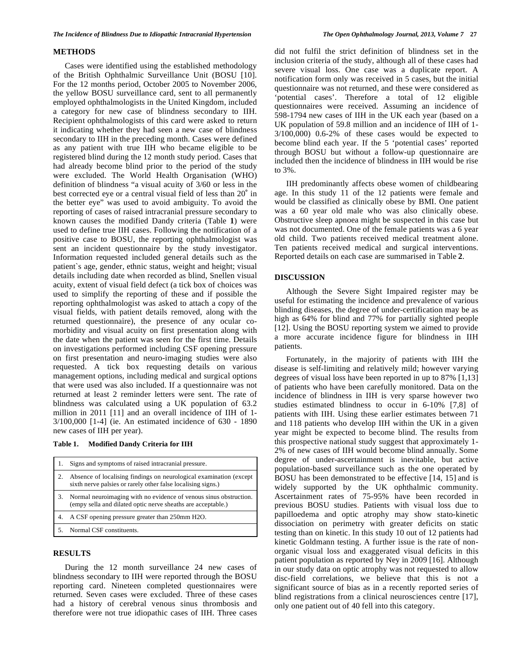### **METHODS**

 Cases were identified using the established methodology of the British Ophthalmic Surveillance Unit (BOSU [10]. For the 12 months period, October 2005 to November 2006, the yellow BOSU surveillance card, sent to all permanently employed ophthalmologists in the United Kingdom, included a category for new case of blindness secondary to IIH. Recipient ophthalmologists of this card were asked to return it indicating whether they had seen a new case of blindness secondary to IIH in the preceding month. Cases were defined as any patient with true IIH who became eligible to be registered blind during the 12 month study period. Cases that had already become blind prior to the period of the study were excluded. The World Health Organisation (WHO) definition of blindness "a visual acuity of 3/60 or less in the best corrected eye or a central visual field of less than 20˚ in the better eye" was used to avoid ambiguity. To avoid the reporting of cases of raised intracranial pressure secondary to known causes the modified Dandy criteria (Table **1**) were used to define true IIH cases. Following the notification of a positive case to BOSU, the reporting ophthalmologist was sent an incident questionnaire by the study investigator. Information requested included general details such as the patient`s age, gender, ethnic status, weight and height; visual details including date when recorded as blind, Snellen visual acuity, extent of visual field defect (a tick box of choices was used to simplify the reporting of these and if possible the reporting ophthalmologist was asked to attach a copy of the visual fields, with patient details removed, along with the returned questionnaire), the presence of any ocular comorbidity and visual acuity on first presentation along with the date when the patient was seen for the first time. Details on investigations performed including CSF opening pressure on first presentation and neuro-imaging studies were also requested. A tick box requesting details on various management options, including medical and surgical options that were used was also included. If a questionnaire was not returned at least 2 reminder letters were sent. The rate of blindness was calculated using a UK population of 63.2 million in 2011 [11] and an overall incidence of IIH of 1- 3/100,000 [1-4] (ie. An estimated incidence of 630 - 1890 new cases of IIH per year).

**Table 1. Modified Dandy Criteria for IIH** 

| Signs and symptoms of raised intracranial pressure.                                                                                  |
|--------------------------------------------------------------------------------------------------------------------------------------|
| Absence of localising findings on neurological examination (except<br>sixth nerve palsies or rarely other false localising signs.)   |
| 3. Normal neuroimaging with no evidence of venous sinus obstruction.<br>(empy sella and dilated optic nerve sheaths are acceptable.) |
| 4. A CSF opening pressure greater than 250mm H2O.                                                                                    |
| Normal CSF constituents.                                                                                                             |

# **RESULTS**

 During the 12 month surveillance 24 new cases of blindness secondary to IIH were reported through the BOSU reporting card. Nineteen completed questionnaires were returned. Seven cases were excluded. Three of these cases had a history of cerebral venous sinus thrombosis and therefore were not true idiopathic cases of IIH. Three cases

did not fulfil the strict definition of blindness set in the inclusion criteria of the study, although all of these cases had severe visual loss. One case was a duplicate report. A notification form only was received in 5 cases, but the initial questionnaire was not returned, and these were considered as 'potential cases'. Therefore a total of 12 eligible questionnaires were received. Assuming an incidence of 598-1794 new cases of IIH in the UK each year (based on a UK population of 59.8 million and an incidence of IIH of 1- 3/100,000) 0.6-2% of these cases would be expected to become blind each year. If the 5 'potential cases' reported through BOSU but without a follow-up questionnaire are included then the incidence of blindness in IIH would be rise to 3%.

 IIH predominantly affects obese women of childbearing age. In this study 11 of the 12 patients were female and would be classified as clinically obese by BMI. One patient was a 60 year old male who was also clinically obese. Obstructive sleep apnoea might be suspected in this case but was not documented. One of the female patients was a 6 year old child. Two patients received medical treatment alone. Ten patients received medical and surgical interventions. Reported details on each case are summarised in Table **2**.

# **DISCUSSION**

 Although the Severe Sight Impaired register may be useful for estimating the incidence and prevalence of various blinding diseases, the degree of under-certification may be as high as 64% for blind and 77% for partially sighted people [12]. Using the BOSU reporting system we aimed to provide a more accurate incidence figure for blindness in IIH patients.

 Fortunately, in the majority of patients with IIH the disease is self-limiting and relatively mild; however varying degrees of visual loss have been reported in up to 87% [1,13] of patients who have been carefully monitored. Data on the incidence of blindness in IIH is very sparse however two studies estimated blindness to occur in 6-10% [7,8] of patients with IIH. Using these earlier estimates between 71 and 118 patients who develop IIH within the UK in a given year might be expected to become blind. The results from this prospective national study suggest that approximately 1- 2% of new cases of IIH would become blind annually. Some degree of under-ascertainment is inevitable, but active population-based surveillance such as the one operated by BOSU has been demonstrated to be effective [14, 15] and is widely supported by the UK ophthalmic community. Ascertainment rates of 75-95% have been recorded in previous BOSU studies. Patients with visual loss due to papilloedema and optic atrophy may show stato-kinetic dissociation on perimetry with greater deficits on static testing than on kinetic. In this study 10 out of 12 patients had kinetic Goldmann testing. A further issue is the rate of nonorganic visual loss and exaggerated visual deficits in this patient population as reported by Ney in 2009 [16]. Although in our study data on optic atrophy was not requested to allow disc-field correlations, we believe that this is not a significant source of bias as in a recently reported series of blind registrations from a clinical neurosciences centre [17], only one patient out of 40 fell into this category.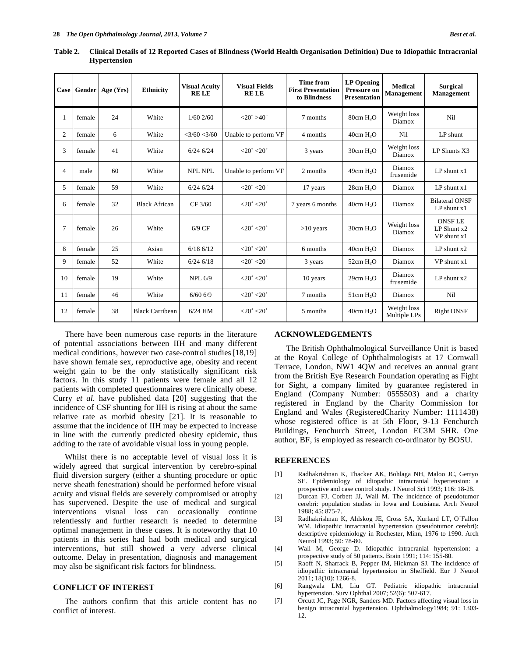|                |        | Case Gender   Age (Yrs) | <b>Ethnicity</b>       | <b>Visual Acuity</b><br><b>RELE</b> | <b>Visual Fields</b><br><b>RELE</b> | <b>Time from</b><br><b>First Presentation</b><br>to Blindness | <b>LP</b> Opening<br><b>Pressure on</b><br><b>Presentation</b> | <b>Medical</b><br><b>Management</b> | <b>Surgical</b><br><b>Management</b>         |
|----------------|--------|-------------------------|------------------------|-------------------------------------|-------------------------------------|---------------------------------------------------------------|----------------------------------------------------------------|-------------------------------------|----------------------------------------------|
| 1              | female | 24                      | White                  | $1/60$ 2/60                         | $<20^{\circ} > 40^{\circ}$          | 7 months                                                      | 80cm H <sub>2</sub> O                                          | Weight loss<br>Diamox               | Nil                                          |
| $\overline{c}$ | female | 6                       | White                  | $<$ 3/60 $<$ 3/60                   | Unable to perform VF                | 4 months                                                      | 40cm H <sub>2</sub> O                                          | Nil                                 | LP shunt                                     |
| 3              | female | 41                      | White                  | $6/24$ 6/24                         | $< 20^{\circ} < 20^{\circ}$         | 3 years                                                       | $30cm$ H <sub>2</sub> O                                        | Weight loss<br>Diamox               | LP Shunts X3                                 |
| 4              | male   | 60                      | White                  | <b>NPL NPL</b>                      | Unable to perform VF                | 2 months                                                      | 49cm H <sub>2</sub> O                                          | Diamox<br>frusemide                 | LP shunt x1                                  |
| 5              | female | 59                      | White                  | $6/24$ 6/24                         | $<$ 20 $^{\circ}$ $<$ 20 $^{\circ}$ | 17 years                                                      | 28cm H <sub>2</sub> O                                          | Diamox                              | $LP$ shunt $x1$                              |
| 6              | female | 32                      | <b>Black African</b>   | CF 3/60                             | $<$ 20 $^{\circ}$ $<$ 20 $^{\circ}$ | 7 years 6 months                                              | 40cm H <sub>2</sub> O                                          | Diamox                              | <b>Bilateral ONSF</b><br>$LP$ shunt $x1$     |
| 7              | female | 26                      | White                  | $6/9$ CF                            | $<$ 20 $^{\circ}$ $<$ 20 $^{\circ}$ | $>10$ years                                                   | 30cm H <sub>2</sub> O                                          | Weight loss<br>Diamox               | <b>ONSF LE</b><br>LP Shunt x2<br>VP shunt x1 |
| 8              | female | 25                      | Asian                  | $6/18$ $6/12$                       | $<$ 20 $^{\circ}$ $<$ 20 $^{\circ}$ | 6 months                                                      | $40cm$ H <sub>2</sub> O                                        | Diamox                              | $LP$ shunt $x2$                              |
| 9              | female | 52                      | White                  | $6/24$ $6/18$                       | $<$ 20 $^{\circ}$ $<$ 20 $^{\circ}$ | 3 years                                                       | 52cm H <sub>2</sub> O                                          | Diamox                              | VP shunt x1                                  |
| 10             | female | 19                      | White                  | <b>NPL 6/9</b>                      | $<$ 20 $^{\circ}$ $<$ 20 $^{\circ}$ | 10 years                                                      | 29cm H <sub>2</sub> O                                          | Diamox<br>frusemide                 | $LP$ shunt $x2$                              |
| 11             | female | 46                      | White                  | $6/60$ 6/9                          | $<$ 20 $^{\circ}$ $<$ 20 $^{\circ}$ | 7 months                                                      | 51cm H <sub>2</sub> O                                          | Diamox                              | Nil                                          |
| 12             | female | 38                      | <b>Black Carribean</b> | $6/24$ HM                           | $<$ 20 $^{\circ}$ $<$ 20 $^{\circ}$ | 5 months                                                      | $40cm$ H <sub>2</sub> O                                        | Weight loss<br>Multiple LPs         | <b>Right ONSF</b>                            |

**Table 2. Clinical Details of 12 Reported Cases of Blindness (World Health Organisation Definition) Due to Idiopathic Intracranial Hypertension** 

 There have been numerous case reports in the literature of potential associations between IIH and many different medical conditions, however two case-control studies [18,19] have shown female sex, reproductive age, obesity and recent weight gain to be the only statistically significant risk factors. In this study 11 patients were female and all 12 patients with completed questionnaires were clinically obese. Curry *et al.* have published data [20] suggesting that the incidence of CSF shunting for IIH is rising at about the same relative rate as morbid obesity [21]. It is reasonable to assume that the incidence of IIH may be expected to increase in line with the currently predicted obesity epidemic, thus adding to the rate of avoidable visual loss in young people.

 Whilst there is no acceptable level of visual loss it is widely agreed that surgical intervention by cerebro-spinal fluid diversion surgery (either a shunting procedure or optic nerve sheath fenestration) should be performed before visual acuity and visual fields are severely compromised or atrophy has supervened. Despite the use of medical and surgical interventions visual loss can occasionally continue relentlessly and further research is needed to determine optimal management in these cases. It is noteworthy that 10 patients in this series had had both medical and surgical interventions, but still showed a very adverse clinical outcome. Delay in presentation, diagnosis and management may also be significant risk factors for blindness.

# **CONFLICT OF INTEREST**

 The authors confirm that this article content has no conflict of interest.

# **ACKNOWLEDGEMENTS**

 The British Ophthalmological Surveillance Unit is based at the Royal College of Ophthalmologists at 17 Cornwall Terrace, London, NW1 4QW and receives an annual grant from the British Eye Research Foundation operating as Fight for Sight, a company limited by guarantee registered in England (Company Number: 0555503) and a charity registered in England by the Charity Commission for England and Wales (RegisteredCharity Number: 1111438) whose registered office is at 5th Floor, 9-13 Fenchurch Buildings, Fenchurch Street, London EC3M 5HR. One author, BF, is employed as research co-ordinator by BOSU.

# **REFERENCES**

- [1] Radhakrishnan K, Thacker AK, Bohlaga NH, Maloo JC, Gerryo SE. Epidemiology of idiopathic intracranial hypertension: a prospective and case control study. J Neurol Sci 1993; 116: 18-28.
- [2] Durcan FJ, Corbett JJ, Wall M. The incidence of pseudotumor cerebri: population studies in Iowa and Louisiana. Arch Neurol 1988; 45: 875-7.
- [3] Radhakrishnan K, Ahlskog JE, Cross SA, Kurland LT, O`Fallon WM. Idiopathic intracranial hypertension (pseudotumor cerebri): descriptive epidemiology in Rochester, Minn, 1976 to 1990. Arch Neurol 1993; 50: 78-80.
- [4] Wall M, George D. Idiopathic intracranial hypertension: a prospective study of 50 patients. Brain 1991; 114: 155-80.
- [5] Raoff N, Sharrack B, Pepper IM, Hickman SJ. The incidence of idiopathic intracranial hypertension in Sheffield. Eur J Neurol 2011; 18(10): 1266-8.
- [6] Rangwala LM, Liu GT. Pediatric idiopathic intracranial hypertension. Surv Ophthal 2007; 52(6): 507-617.
- [7] Orcutt JC, Page NGR, Sanders MD. Factors affecting visual loss in benign intracranial hypertension. Ophthalmology1984; 91: 1303- 12.